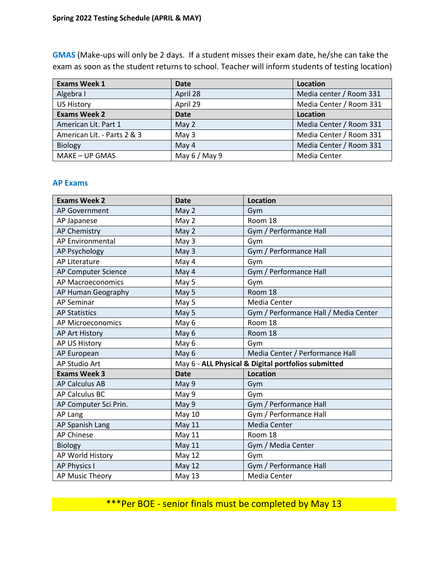**GMAS** (Make-ups will only be 2 days. If a student misses their exam date, he/she can take the exam as soon as the student returns to school. Teacher will inform students of testing location)

| <b>Exams Week 1</b>         | <b>Date</b>    | Location                |  |
|-----------------------------|----------------|-------------------------|--|
| Algebra I                   | April 28       | Media center / Room 331 |  |
| <b>US History</b>           | April 29       | Media Center / Room 331 |  |
| <b>Exams Week 2</b>         | Date           | Location                |  |
| American Lit. Part 1        | May 2          | Media Center / Room 331 |  |
| American Lit. - Parts 2 & 3 | May 3          | Media Center / Room 331 |  |
| <b>Biology</b>              | May 4          | Media Center / Room 331 |  |
| MAKE – UP GMAS              | May $6/$ May 9 | Media Center            |  |

## **AP Exams**

| <b>Exams Week 2</b>      | <b>Date</b>                                         | <b>Location</b>                       |
|--------------------------|-----------------------------------------------------|---------------------------------------|
| <b>AP Government</b>     | May 2                                               | Gym                                   |
| AP Japanese              | May 2                                               | Room 18                               |
| <b>AP Chemistry</b>      | May 2                                               | Gym / Performance Hall                |
| <b>AP Environmental</b>  | May 3                                               | Gym                                   |
| AP Psychology            | May 3                                               | Gym / Performance Hall                |
| <b>AP Literature</b>     | May 4                                               | Gym                                   |
| AP Computer Science      | May 4                                               | Gym / Performance Hall                |
| <b>AP Macroeconomics</b> | May 5                                               | Gym                                   |
| AP Human Geography       | May 5                                               | Room 18                               |
| <b>AP Seminar</b>        | May 5                                               | Media Center                          |
| <b>AP Statistics</b>     | May 5                                               | Gym / Performance Hall / Media Center |
| <b>AP Microeconomics</b> | May 6                                               | Room 18                               |
| AP Art History           | May 6                                               | Room 18                               |
| AP US History            | May 6                                               | Gym                                   |
| AP European              | May 6                                               | Media Center / Performance Hall       |
| AP Studio Art            | May 6 - ALL Physical & Digital portfolios submitted |                                       |
| <b>Exams Week 3</b>      | <b>Date</b>                                         | <b>Location</b>                       |
| <b>AP Calculus AB</b>    | May 9                                               | Gym                                   |
| AP Calculus BC           | May 9                                               | Gym                                   |
| AP Computer Sci Prin.    | May 9                                               | Gym / Performance Hall                |
| AP Lang                  | <b>May 10</b>                                       | Gym / Performance Hall                |
| AP Spanish Lang          | <b>May 11</b>                                       | <b>Media Center</b>                   |
| <b>AP Chinese</b>        | <b>May 11</b>                                       | Room 18                               |
| <b>Biology</b>           | <b>May 11</b>                                       | Gym / Media Center                    |
| AP World History         | May 12                                              | Gym                                   |
| <b>AP Physics I</b>      | <b>May 12</b>                                       | Gym / Performance Hall                |
| AP Music Theory          | May 13                                              | Media Center                          |

\*\*\*Per BOE - senior finals must be completed by May 13